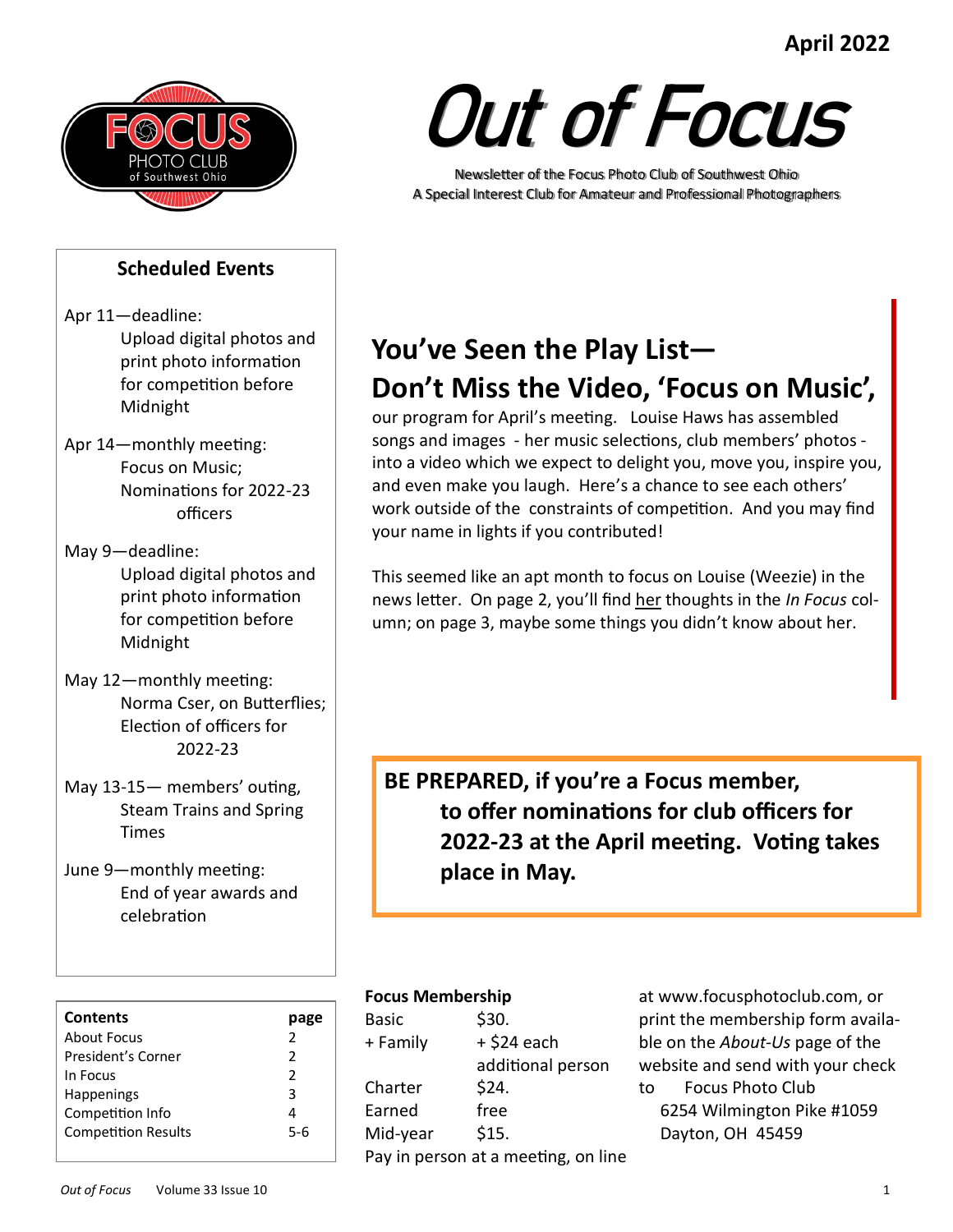# **April 2022**



#### **Scheduled Events**

- Apr 11—deadline: Upload digital photos and print photo information for competition before Midnight
- Apr 14—monthly meeting: Focus on Music; Nominations for 2022-23 officers
- May 9—deadline: Upload digital photos and print photo information for competition before Midnight
- May 12—monthly meeting: Norma Cser, on Butterflies; Election of officers for 2022-23
- May 13-15— members' outing, Steam Trains and Spring Times
- June 9—monthly meeting: End of year awards and celebration

| <b>Contents</b>            |               |
|----------------------------|---------------|
| About Focus                | $\mathcal{P}$ |
| President's Corner         | 2             |
| In Focus                   | 2             |
| <b>Happenings</b>          | з             |
| Competition Info           |               |
| <b>Competition Results</b> | 5-6           |
|                            |               |

# Out of Focus

Newsletter of the Focus Photo Club of Southwest Ohio A Special Interest Club for Amateur and Professional Photographers

# **You've Seen the Play List— Don't Miss the Video, 'Focus on Music',**

our program for April's meeting. Louise Haws has assembled songs and images - her music selections, club members' photos into a video which we expect to delight you, move you, inspire you, and even make you laugh. Here's a chance to see each others' work outside of the constraints of competition. And you may find your name in lights if you contributed!

This seemed like an apt month to focus on Louise (Weezie) in the news letter. On page 2, you'll find her thoughts in the *In Focus* column; on page 3, maybe some things you didn't know about her.

**BE PREPARED, if you're a Focus member, to offer nominations for club officers for 2022-23 at the April meeting. Voting takes place in May.** 

#### **Focus Membership**

| Basic    | \$30.                               |
|----------|-------------------------------------|
| + Family | + \$24 each                         |
|          | additional person                   |
| Charter  | \$24.                               |
| Earned   | free                                |
| Mid-year | \$15.                               |
|          | Pay in person at a meeting, on line |
|          |                                     |

at www.focusphotoclub.com, or print the membership form available on the *About-Us* page of the website and send with your check to Focus Photo Club 6254 Wilmington Pike #1059 Dayton, OH 45459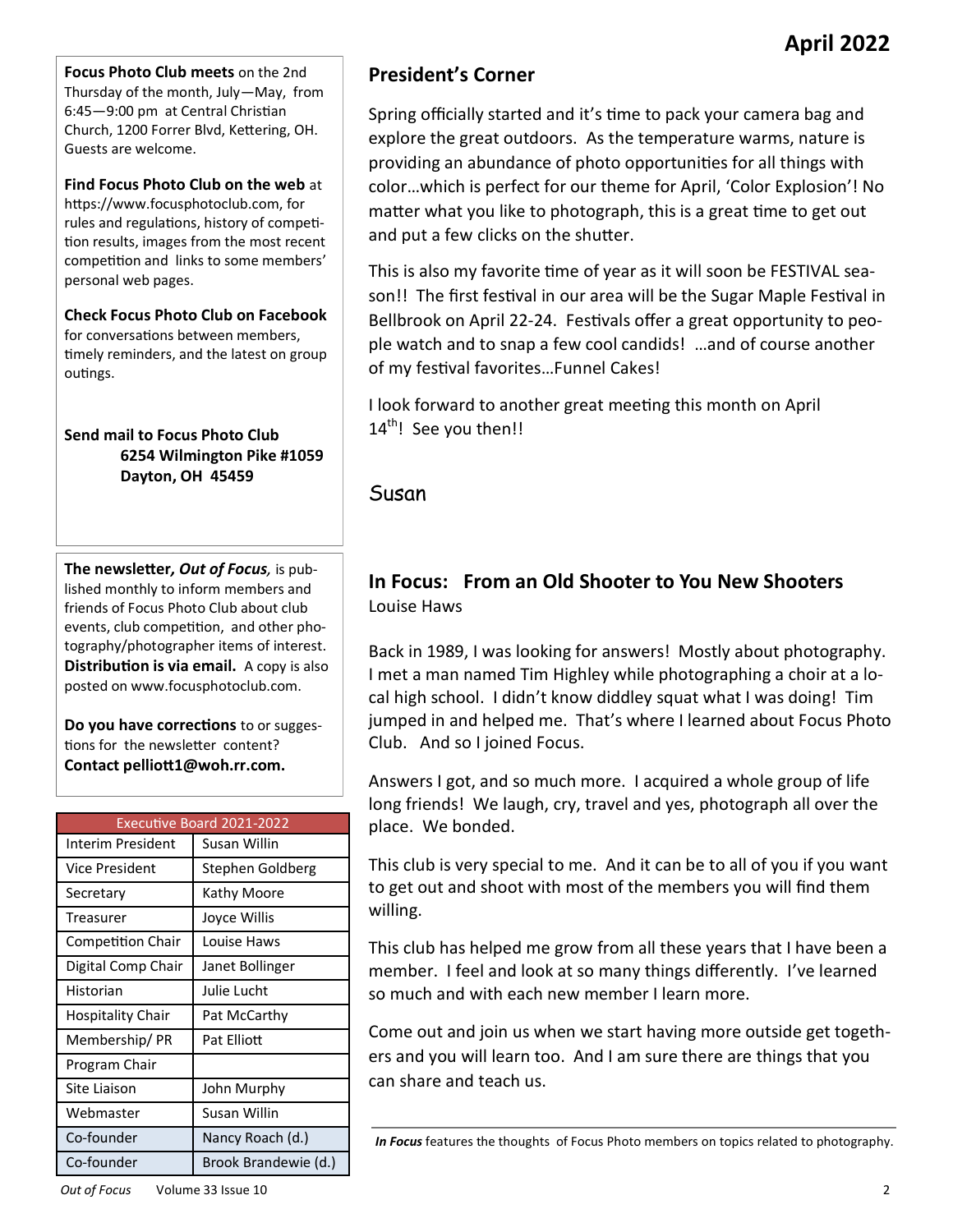**Focus Photo Club meets** on the 2nd Thursday of the month, July—May, from 6:45—9:00 pm at Central Christian Church, 1200 Forrer Blvd, Kettering, OH. Guests are welcome.

**Find Focus Photo Club on the web** at https://www.focusphotoclub.com, for rules and regulations, history of competition results, images from the most recent competition and links to some members' personal web pages.

**Check Focus Photo Club on Facebook**  for conversations between members, timely reminders, and the latest on group outings.

#### **Send mail to Focus Photo Club 6254 Wilmington Pike #1059 Dayton, OH 45459**

**The newsletter***, Out of Focus,* is published monthly to inform members and friends of Focus Photo Club about club events, club competition, and other photography/photographer items of interest. **Distribution is via email.** A copy is also posted on www.focusphotoclub.com.

**Do you have corrections** to or suggestions for the newsletter content? **Contact pelliott1@woh.rr.com.**

|                          | <b>Executive Board 2021-2022</b> |
|--------------------------|----------------------------------|
| Interim President        | Susan Willin                     |
| Vice President           | Stephen Goldberg                 |
| Secretary                | Kathy Moore                      |
| <b>Treasurer</b>         | Joyce Willis                     |
| <b>Competition Chair</b> | Louise Haws                      |
| Digital Comp Chair       | Janet Bollinger                  |
| Historian                | Julie Lucht                      |
| Hospitality Chair        | Pat McCarthy                     |
| Membership/PR            | Pat Flliott                      |
| Program Chair            |                                  |
| Site Liaison             | John Murphy                      |
| Webmaster                | Susan Willin                     |
| Co-founder               | Nancy Roach (d.)                 |
| Co-founder               | Brook Brandewie (d.)             |

# **President's Corner**

Spring officially started and it's time to pack your camera bag and explore the great outdoors. As the temperature warms, nature is providing an abundance of photo opportunities for all things with color…which is perfect for our theme for April, 'Color Explosion'! No matter what you like to photograph, this is a great time to get out and put a few clicks on the shutter.

This is also my favorite time of year as it will soon be FESTIVAL season!! The first festival in our area will be the Sugar Maple Festival in Bellbrook on April 22-24. Festivals offer a great opportunity to people watch and to snap a few cool candids! …and of course another of my festival favorites…Funnel Cakes!

I look forward to another great meeting this month on April 14<sup>th</sup>! See you then!!

Susan

### **In Focus: From an Old Shooter to You New Shooters**  Louise Haws

Back in 1989, I was looking for answers! Mostly about photography. I met a man named Tim Highley while photographing a choir at a local high school. I didn't know diddley squat what I was doing! Tim jumped in and helped me. That's where I learned about Focus Photo Club. And so I joined Focus.

Answers I got, and so much more. I acquired a whole group of life long friends! We laugh, cry, travel and yes, photograph all over the place. We bonded.

This club is very special to me. And it can be to all of you if you want to get out and shoot with most of the members you will find them willing.

This club has helped me grow from all these years that I have been a member. I feel and look at so many things differently. I've learned so much and with each new member I learn more.

Come out and join us when we start having more outside get togethers and you will learn too. And I am sure there are things that you can share and teach us.

*In Focus* features the thoughts of Focus Photo members on topics related to photography.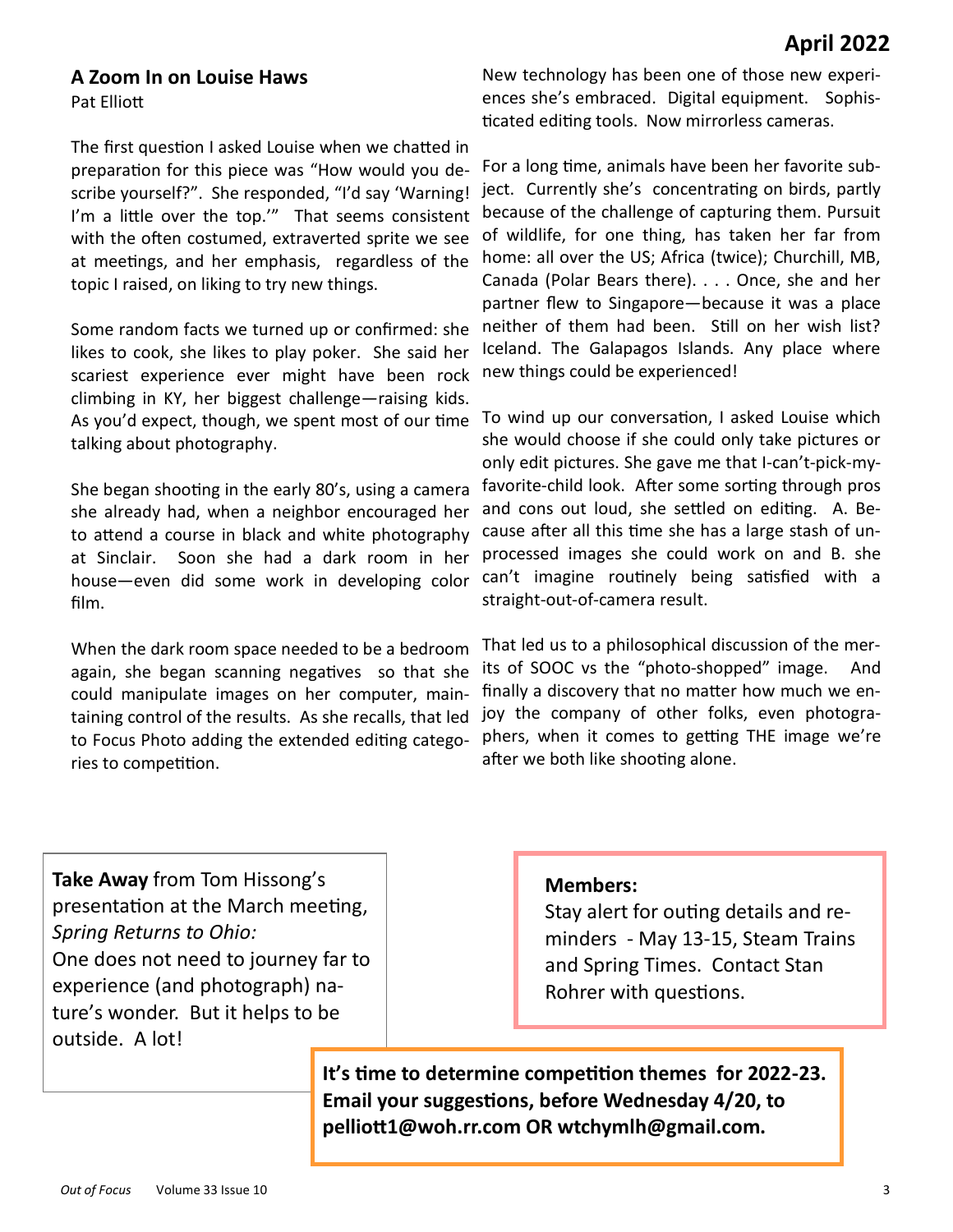#### **A Zoom In on Louise Haws**

Pat Elliott

The first question I asked Louise when we chatted in preparation for this piece was "How would you describe yourself?". She responded, "I'd say 'Warning! I'm a little over the top."" That seems consistent with the often costumed, extraverted sprite we see at meetings, and her emphasis, regardless of the topic I raised, on liking to try new things.

Some random facts we turned up or confirmed: she likes to cook, she likes to play poker. She said her scariest experience ever might have been rock climbing in KY, her biggest challenge—raising kids. As you'd expect, though, we spent most of our time To wind up our conversation, I asked Louise which talking about photography.

She began shooting in the early 80's, using a camera she already had, when a neighbor encouraged her to attend a course in black and white photography at Sinclair. Soon she had a dark room in her house—even did some work in developing color film.

When the dark room space needed to be a bedroom again, she began scanning negatives so that she could manipulate images on her computer, maintaining control of the results. As she recalls, that led to Focus Photo adding the extended editing categories to competition.

New technology has been one of those new experiences she's embraced. Digital equipment. Sophisticated editing tools. Now mirrorless cameras.

For a long time, animals have been her favorite subject. Currently she's concentrating on birds, partly because of the challenge of capturing them. Pursuit of wildlife, for one thing, has taken her far from home: all over the US; Africa (twice); Churchill, MB, Canada (Polar Bears there). . . . Once, she and her partner flew to Singapore—because it was a place neither of them had been. Still on her wish list? Iceland. The Galapagos Islands. Any place where new things could be experienced!

she would choose if she could only take pictures or only edit pictures. She gave me that I-can't-pick-myfavorite-child look. After some sorting through pros and cons out loud, she settled on editing. A. Because after all this time she has a large stash of unprocessed images she could work on and B. she can't imagine routinely being satisfied with a straight-out-of-camera result.

That led us to a philosophical discussion of the merits of SOOC vs the "photo-shopped" image. And finally a discovery that no matter how much we enjoy the company of other folks, even photographers, when it comes to getting THE image we're after we both like shooting alone.

**Take Away** from Tom Hissong's presentation at the March meeting, *Spring Returns to Ohio:* One does not need to journey far to experience (and photograph) nature's wonder. But it helps to be outside. A lot!

#### **Members:**

Stay alert for outing details and reminders - May 13-15, Steam Trains and Spring Times. Contact Stan Rohrer with questions.

**It's time to determine competition themes for 2022-23. Email your suggestions, before Wednesday 4/20, to pelliott1@woh.rr.com OR wtchymlh@gmail.com.**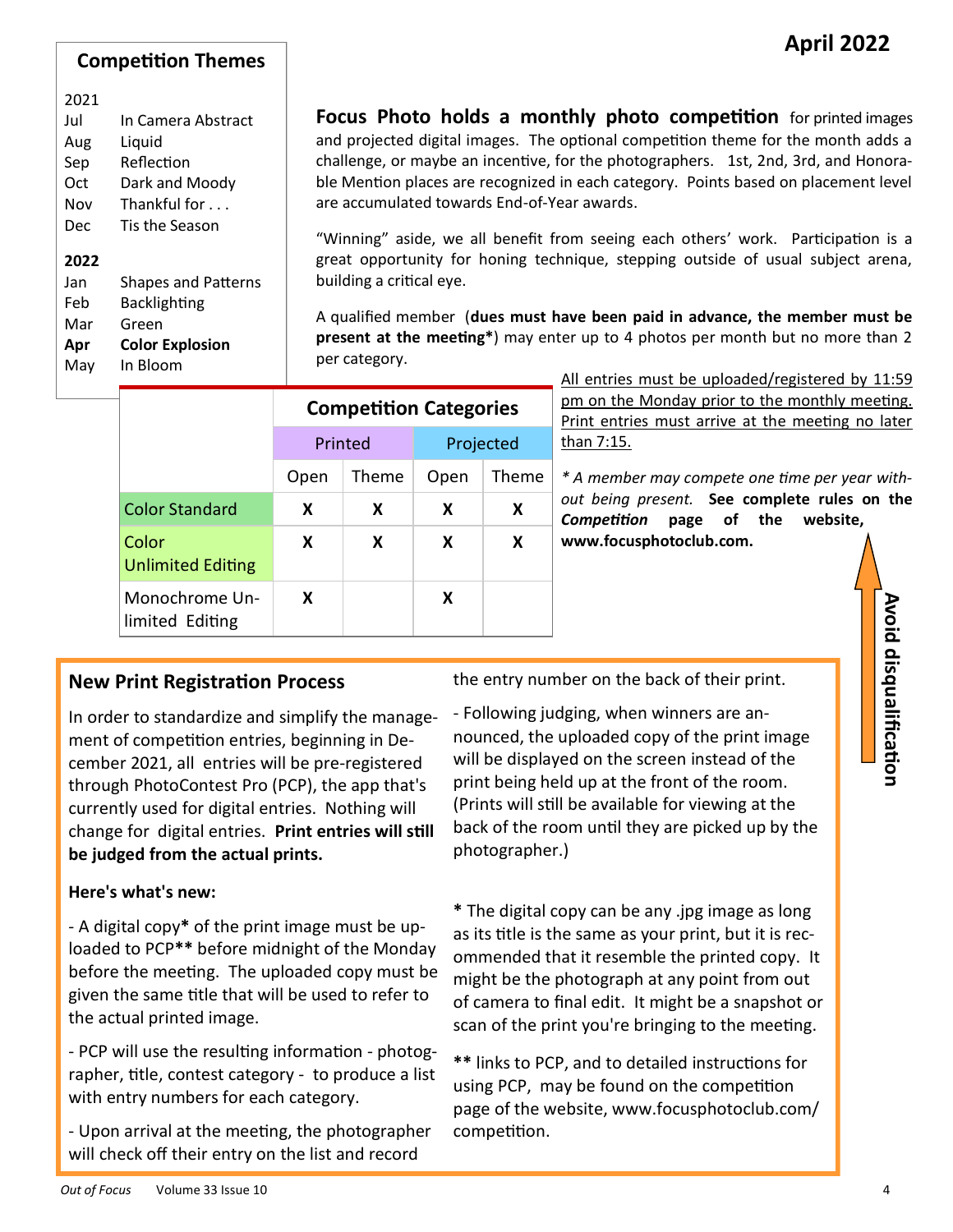#### **Competition Themes**

#### 2021

| Jul  | In Camera Abstract         |
|------|----------------------------|
| Aug  | Liquid                     |
| Sep  | Reflection                 |
| Oct  | Dark and Moody             |
| Nov  | Thankful for $\ldots$      |
| Dec  | Tis the Season             |
| 2022 |                            |
| Jan  | <b>Shapes and Patterns</b> |
| Feb  | <b>Backlighting</b>        |
| Mar  | Green                      |

**Apr Color Explosion**

May In Bloom

**Focus Photo holds a monthly photo competition** for printed images and projected digital images. The optional competition theme for the month adds a challenge, or maybe an incentive, for the photographers. 1st, 2nd, 3rd, and Honorable Mention places are recognized in each category. Points based on placement level are accumulated towards End-of-Year awards.

"Winning" aside, we all benefit from seeing each others' work. Participation is a great opportunity for honing technique, stepping outside of usual subject arena, building a critical eye.

A qualified member (**dues must have been paid in advance, the member must be present at the meeting\***) may enter up to 4 photos per month but no more than 2 per category.

|                                   | <b>Competition Categories</b> |       |           |       |
|-----------------------------------|-------------------------------|-------|-----------|-------|
|                                   | Printed                       |       | Projected |       |
|                                   | Open                          | Theme | Open      | Theme |
| <b>Color Standard</b>             | X                             | X     | x         | x     |
| Color<br><b>Unlimited Editing</b> | X                             | X     | x         | x     |
| Monochrome Un-<br>limited Editing | X                             |       | x         |       |

All entries must be uploaded/registered by 11:59 pm on the Monday prior to the monthly meeting. Print entries must arrive at the meeting no later than 7:15.

*\* A member may compete one time per year without being present.* **See complete rules on the**  *Competition* **page of the website, www.focusphotoclub.com.**

#### **New Print Registration Process**

In order to standardize and simplify the management of competition entries, beginning in December 2021, all entries will be pre-registered through PhotoContest Pro (PCP), the app that's currently used for digital entries. Nothing will change for digital entries. **Print entries will still be judged from the actual prints.**

#### **Here's what's new:**

- A digital copy**\*** of the print image must be uploaded to PCP**\*\*** before midnight of the Monday before the meeting. The uploaded copy must be given the same title that will be used to refer to the actual printed image.

- PCP will use the resulting information - photographer, title, contest category - to produce a list with entry numbers for each category.

- Upon arrival at the meeting, the photographer will check off their entry on the list and record

the entry number on the back of their print.

- Following judging, when winners are announced, the uploaded copy of the print image will be displayed on the screen instead of the print being held up at the front of the room. (Prints will still be available for viewing at the back of the room until they are picked up by the photographer.)

**\*** The digital copy can be any .jpg image as long as its title is the same as your print, but it is recommended that it resemble the printed copy. It might be the photograph at any point from out of camera to final edit. It might be a snapshot or scan of the print you're bringing to the meeting.

**\*\*** links to PCP, and to detailed instructions for using PCP, may be found on the competition page of the website, www.focusphotoclub.com/ competition.

**Avoid disqualification**

Avoid disqualification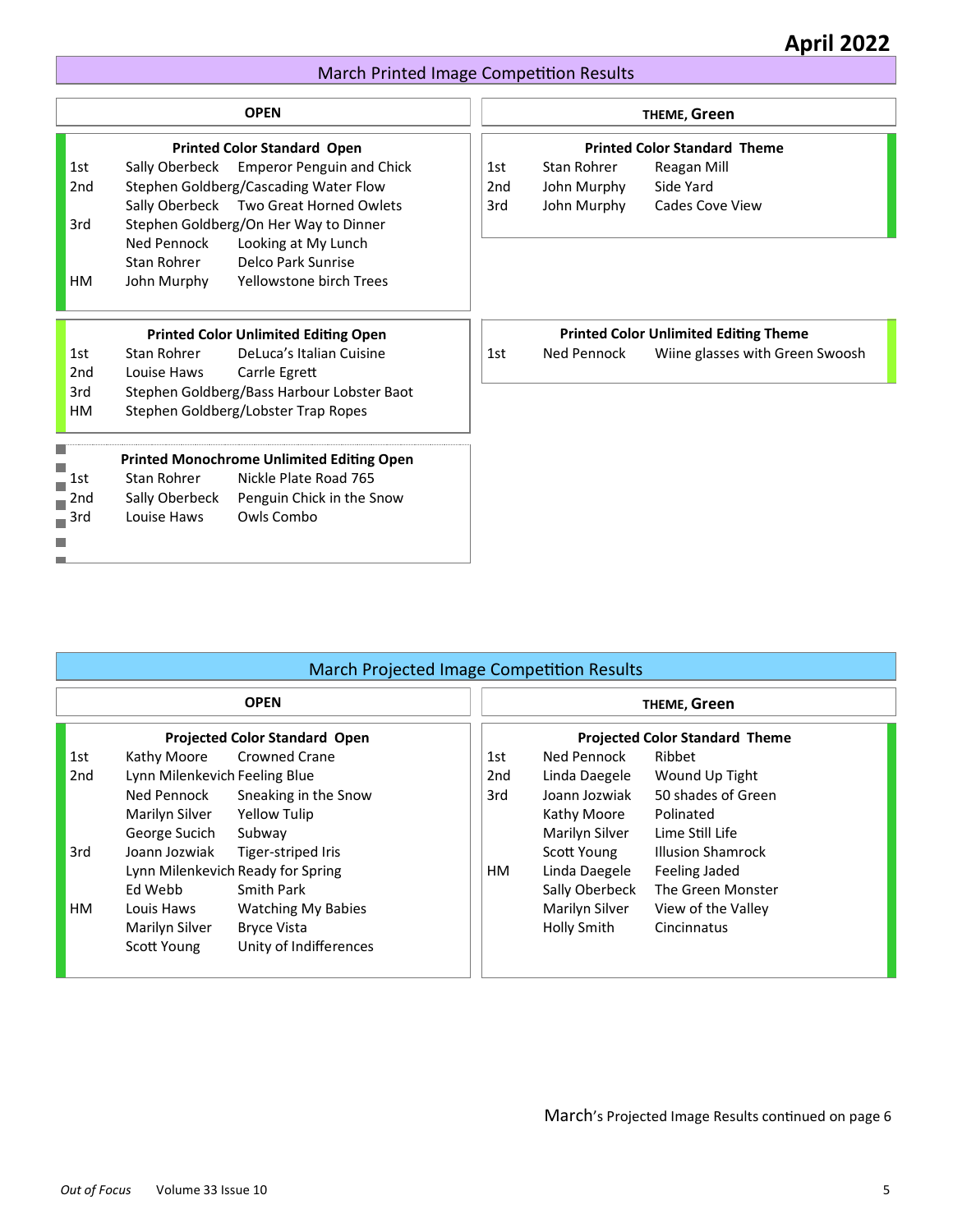# **April 2022**

#### March Printed Image Competition Results

|                 |                | <b>OPEN</b>                                      |                 |             | THEME, Green                                 |
|-----------------|----------------|--------------------------------------------------|-----------------|-------------|----------------------------------------------|
|                 |                | <b>Printed Color Standard Open</b>               |                 |             | <b>Printed Color Standard Theme</b>          |
| 1st             |                | Sally Oberbeck Emperor Penguin and Chick         | 1st             | Stan Rohrer | Reagan Mill                                  |
| 2 <sub>nd</sub> |                | Stephen Goldberg/Cascading Water Flow            | 2 <sub>nd</sub> | John Murphy | Side Yard                                    |
|                 |                | Sally Oberbeck Two Great Horned Owlets           | 3rd             | John Murphy | <b>Cades Cove View</b>                       |
| 3rd             |                | Stephen Goldberg/On Her Way to Dinner            |                 |             |                                              |
|                 | Ned Pennock    | Looking at My Lunch                              |                 |             |                                              |
|                 | Stan Rohrer    | Delco Park Sunrise                               |                 |             |                                              |
| <b>HM</b>       | John Murphy    | Yellowstone birch Trees                          |                 |             |                                              |
|                 |                | <b>Printed Color Unlimited Editing Open</b>      |                 |             | <b>Printed Color Unlimited Editing Theme</b> |
| 1st             | Stan Rohrer    | DeLuca's Italian Cuisine                         | 1st             | Ned Pennock | Wiine glasses with Green Swoosh              |
| 2 <sub>nd</sub> | Louise Haws    | Carrle Egrett                                    |                 |             |                                              |
| 3rd             |                | Stephen Goldberg/Bass Harbour Lobster Baot       |                 |             |                                              |
| <b>HM</b>       |                | Stephen Goldberg/Lobster Trap Ropes              |                 |             |                                              |
|                 |                | <b>Printed Monochrome Unlimited Editing Open</b> |                 |             |                                              |
| 1st             | Stan Rohrer    | Nickle Plate Road 765                            |                 |             |                                              |
| 2nd             | Sally Oberbeck | Penguin Chick in the Snow                        |                 |             |                                              |
| 3rd<br>Ē.       | Louise Haws    | Owls Combo                                       |                 |             |                                              |
| in.             |                |                                                  |                 |             |                                              |
|                 |                |                                                  |                 |             |                                              |

| <b>March Projected Image Competition Results</b> |                               |                                   |                                       |                |                          |
|--------------------------------------------------|-------------------------------|-----------------------------------|---------------------------------------|----------------|--------------------------|
|                                                  |                               | <b>OPEN</b>                       |                                       |                | THEME, Green             |
| <b>Projected Color Standard Open</b>             |                               |                                   | <b>Projected Color Standard Theme</b> |                |                          |
| 1st                                              | Kathy Moore                   | <b>Crowned Crane</b>              | 1st                                   | Ned Pennock    | Ribbet                   |
| 2nd                                              | Lynn Milenkevich Feeling Blue |                                   | 2nd                                   | Linda Daegele  | Wound Up Tight           |
|                                                  | Ned Pennock                   | Sneaking in the Snow              | 3rd                                   | Joann Jozwiak  | 50 shades of Green       |
|                                                  | Marilyn Silver                | Yellow Tulip                      |                                       | Kathy Moore    | Polinated                |
|                                                  | George Sucich                 | Subway                            |                                       | Marilyn Silver | Lime Still Life          |
| 3rd                                              | Joann Jozwiak                 | Tiger-striped Iris                |                                       | Scott Young    | <b>Illusion Shamrock</b> |
|                                                  |                               | Lynn Milenkevich Ready for Spring | HM.                                   | Linda Daegele  | Feeling Jaded            |
|                                                  | Ed Webb                       | <b>Smith Park</b>                 |                                       | Sally Oberbeck | The Green Monster        |
| HМ                                               | Louis Haws                    | <b>Watching My Babies</b>         |                                       | Marilyn Silver | View of the Valley       |
|                                                  | Marilyn Silver                | <b>Bryce Vista</b>                |                                       | Holly Smith    | Cincinnatus              |
|                                                  | Scott Young                   | Unity of Indifferences            |                                       |                |                          |
|                                                  |                               |                                   |                                       |                |                          |